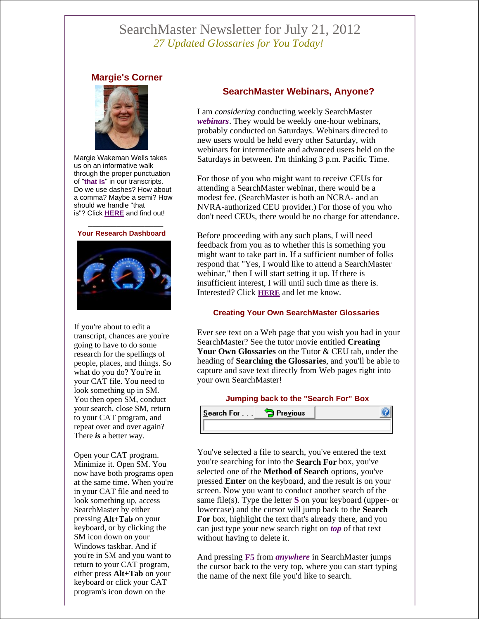# SearchMaster Newsletter for July 21, 2012 *27 Updated Glossaries for You Today!*

## **Margie's Corner**



Margie Wakeman Wells takes us on an informative walk through the proper punctuation of "**that is**" in our transcripts. Do we use dashes? How about a comma? Maybe a semi? How should we handle "that is"? Click **HERE** and find out!





If you're about to edit a transcript, chances are you're going to have to do some research for the spellings of people, places, and things. So what do you do? You're in your CAT file. You need to look something up in SM. You then open SM, conduct your search, close SM, return to your CAT program, and repeat over and over again? There *is* a better way.

Open your CAT program. Minimize it. Open SM. You now have both programs open at the same time. When you're in your CAT file and need to look something up, access SearchMaster by either pressing **Alt+Tab** on your keyboard, or by clicking the SM icon down on your Windows taskbar. And if you're in SM and you want to return to your CAT program, either press **Alt+Tab** on your keyboard or click your CAT program's icon down on the

## **SearchMaster Webinars, Anyone?**

I am *considering* conducting weekly SearchMaster *webinars*. They would be weekly one-hour webinars, probably conducted on Saturdays. Webinars directed to new users would be held every other Saturday, with webinars for intermediate and advanced users held on the Saturdays in between. I'm thinking 3 p.m. Pacific Time.

For those of you who might want to receive CEUs for attending a SearchMaster webinar, there would be a modest fee. (SearchMaster is both an NCRA- and an NVRA-authorized CEU provider.) For those of you who don't need CEUs, there would be no charge for attendance.

Before proceeding with any such plans, I will need feedback from you as to whether this is something you might want to take part in. If a sufficient number of folks respond that "Yes, I would like to attend a SearchMaster webinar," then I will start setting it up. If there is insufficient interest, I will until such time as there is. Interested? Click **HERE** and let me know.

#### **Creating Your Own SearchMaster Glossaries**

Ever see text on a Web page that you wish you had in your SearchMaster? See the tutor movie entitled **Creating Your Own Glossaries** on the Tutor & CEU tab, under the heading of **Searching the Glossaries**, and you'll be able to capture and save text directly from Web pages right into your own SearchMaster!

#### **Jumping back to the "Search For" Box**

| $S$ earch For $\dots$ | <b>Trevious</b> |  |
|-----------------------|-----------------|--|
|                       |                 |  |

You've selected a file to search, you've entered the text you're searching for into the **Search For** box, you've selected one of the **Method of Search** options, you've pressed **Enter** on the keyboard, and the result is on your screen. Now you want to conduct another search of the same file(s). Type the letter **S** on your keyboard (upper- or lowercase) and the cursor will jump back to the **Search For** box, highlight the text that's already there, and you can just type your new search right on *top* of that text without having to delete it.

And pressing **F5** from *anywhere* in SearchMaster jumps the cursor back to the very top, where you can start typing the name of the next file you'd like to search.